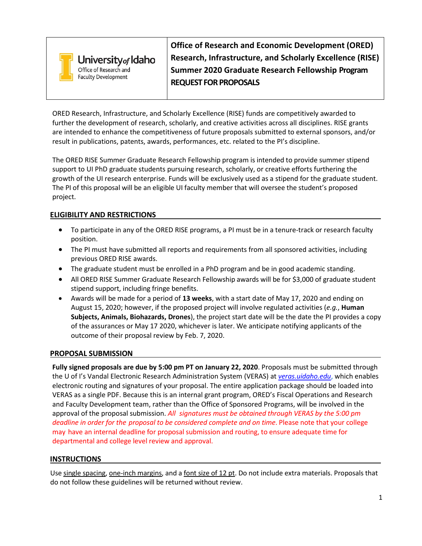

**Office of Research and Economic Development (ORED) Research, Infrastructure, and Scholarly Excellence (RISE) Summer 2020 Graduate Research Fellowship Program REQUEST FOR PROPOSALS**

ORED Research, Infrastructure, and Scholarly Excellence (RISE) funds are competitively awarded to further the development of research, scholarly, and creative activities across all disciplines. RISE grants are intended to enhance the competitiveness of future proposals submitted to external sponsors, and/or result in publications, patents, awards, performances, etc. related to the PI's discipline.

The ORED RISE Summer Graduate Research Fellowship program is intended to provide summer stipend support to UI PhD graduate students pursuing research, scholarly, or creative efforts furthering the growth of the UI research enterprise. Funds will be exclusively used as a stipend for the graduate student. The PI of this proposal will be an eligible UI faculty member that will oversee the student's proposed project.

# **ELIGIBILITY AND RESTRICTIONS**

- To participate in any of the ORED RISE programs, a PI must be in a tenure-track or research faculty position.
- The PI must have submitted all reports and requirements from all sponsored activities, including previous ORED RISE awards.
- The graduate student must be enrolled in a PhD program and be in good academic standing.
- All ORED RISE Summer Graduate Research Fellowship awards will be for \$3,000 of graduate student stipend support, including fringe benefits.
- Awards will be made for a period of **13 weeks**, with a start date of May 17, 2020 and ending on August 15, 2020; however, if the proposed project will involve regulated activities (*e.g.*, **Human Subjects, Animals, Biohazards, Drones**), the project start date will be the date the PI provides a copy of the assurances or May 17 2020, whichever is later. We anticipate notifying applicants of the outcome of their proposal review by Feb. 7, 2020.

# **PROPOSAL SUBMISSION**

**Fully signed proposals are due by 5:00 pm PT on January 22, 2020**. Proposals must be submitted through the U of I's Vandal Electronic Research Administration System (VERAS) at *[veras.uidaho.edu](file://files.uidaho.edu/shared/URO/RFDT/6.%20ORED%20RISE%20Internal%20Funding%20Opps/D.%202019%20EIS-Equip%20Infrastructure%20Support/FY2020%20EIS%20program%20FALL%202019/Guidelines%20-%20RFP,%20cover%20page,%20budget%20template/veras.uidaho.edu)*, which enables electronic routing and signatures of your proposal. The entire application package should be loaded into VERAS as a single PDF. Because this is an internal grant program, ORED's Fiscal Operations and Research and Faculty Development team, rather than the Office of Sponsored Programs, will be involved in the approval of the proposal submission. *All signatures must be obtained through VERAS by the 5:00 pm deadline in order for the proposal to be considered complete and on time*. Please note that your college may have an internal deadline for proposal submission and routing, to ensure adequate time for departmental and college level review and approval.

# **INSTRUCTIONS**

Use single spacing, one-inch margins, and a font size of 12 pt. Do not include extra materials. Proposals that do not follow these guidelines will be returned without review.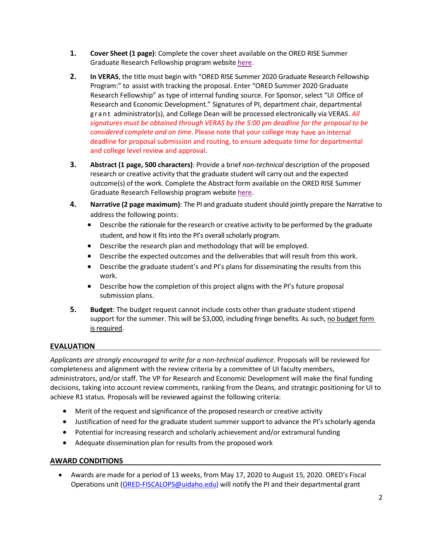- **1. Cover Sheet (1 page)**: Complete the cover sheet available on the ORED RISE Summer Graduate Research Fellowship program website [here.](https://www.uidaho.edu/-/media/UIdaho-Responsive/Files/research/Faculty/Find-Funding/internal-funding/graduate-research-fellowship/spring-2020-rise-graduate-support-cover-sheet.pdf)
- **2. In VERAS**, the title must begin with "ORED RISE Summer 2020 Graduate Research Fellowship Program:" to assist with tracking the proposal. Enter "ORED Summer 2020 Graduate Research Fellowship" as type of internal funding source. For Sponsor, select "UI Office of Research and Economic Development." Signatures of PI, department chair, departmental grant administrator(s), and College Dean will be processed electronically via VERAS. *All signatures must be obtained through VERAS by the 5:00 pm deadline for the proposal to be considered complete and on time*. Please note that your college may have an internal deadline for proposal submission and routing, to ensure adequate time for departmental and college level review and approval.
- **3. Abstract (1 page, 500 characters)**: Provide a brief *non‐technical* description of the proposed research or creative activity that the graduate student will carry out and the expected outcome(s) of the work. Complete the Abstract form available on the ORED RISE Summer Graduate Research Fellowship program website [here.](https://www.uidaho.edu/-/media/UIdaho-Responsive/Files/research/Faculty/Find-Funding/internal-funding/graduate-research-fellowship/spring-2020-rise-summer-graduate-research-support-abstract.pdf)
- **4. Narrative (2 page maximum)**: The PI and graduate studentshould jointly prepare the Narrative to address the following points:
	- Describe the rationale for the research or creative activity to be performed by the graduate student, and how it fits into the PI's overall scholarly program.
	- Describe the research plan and methodology that will be employed.
	- Describe the expected outcomes and the deliverables that will result from this work.
	- Describe the graduate student's and PI's plans for disseminating the results from this work.
	- Describe how the completion of this project aligns with the PI's future proposal submission plans.
- **5. Budget**: The budget request cannot include costs other than graduate student stipend support for the summer. This will be \$3,000, including fringe benefits. As such, no budget form is required.

# **EVALUATION**

*Applicants are strongly encouraged to write for a non-technical audience*. Proposals will be reviewed for completeness and alignment with the review criteria by a committee of UI faculty members, administrators, and/or staff. The VP for Research and Economic Development will make the final funding decisions, taking into account review comments, ranking from the Deans, and strategic positioning for UI to achieve R1 status. Proposals will be reviewed against the following criteria:

- Merit of the request and significance of the proposed research or creative activity
- Justification of need for the graduate student summer support to advance the PI's scholarly agenda
- Potential for increasing research and scholarly achievement and/or extramural funding
- Adequate dissemination plan for results from the proposed work

# **AWARD CONDITIONS**

• Awards are made for a period of 13 weeks, from May 17, 2020 to August 15, 2020. ORED's Fiscal Operations unit [\(ORED-FISCALOPS@uidaho.edu\)](mailto:ORED-FISCALOPS@uidaho.edu) will notify the PI and their departmental grant